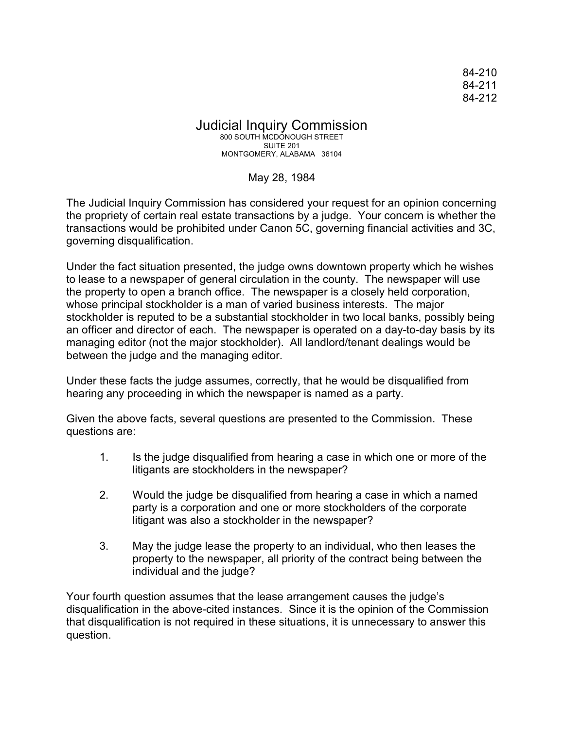84-210 84-211 84-212

## Judicial Inquiry Commission 800 SOUTH MCDONOUGH STREET SUITE 201 MONTGOMERY, ALABAMA 36104

## May 28, 1984

The Judicial Inquiry Commission has considered your request for an opinion concerning the propriety of certain real estate transactions by a judge. Your concern is whether the transactions would be prohibited under Canon 5C, governing financial activities and 3C, governing disqualification.

Under the fact situation presented, the judge owns downtown property which he wishes to lease to a newspaper of general circulation in the county. The newspaper will use the property to open a branch office. The newspaper is a closely held corporation, whose principal stockholder is a man of varied business interests. The major stockholder is reputed to be a substantial stockholder in two local banks, possibly being an officer and director of each. The newspaper is operated on a day-to-day basis by its managing editor (not the major stockholder). All landlord/tenant dealings would be between the judge and the managing editor.

Under these facts the judge assumes, correctly, that he would be disqualified from hearing any proceeding in which the newspaper is named as a party.

Given the above facts, several questions are presented to the Commission. These questions are:

- 1. Is the judge disqualified from hearing a case in which one or more of the litigants are stockholders in the newspaper?
- 2. Would the judge be disqualified from hearing a case in which a named party is a corporation and one or more stockholders of the corporate litigant was also a stockholder in the newspaper?
- 3. May the judge lease the property to an individual, who then leases the property to the newspaper, all priority of the contract being between the individual and the judge?

Your fourth question assumes that the lease arrangement causes the judge's disqualification in the above-cited instances. Since it is the opinion of the Commission that disqualification is not required in these situations, it is unnecessary to answer this question.